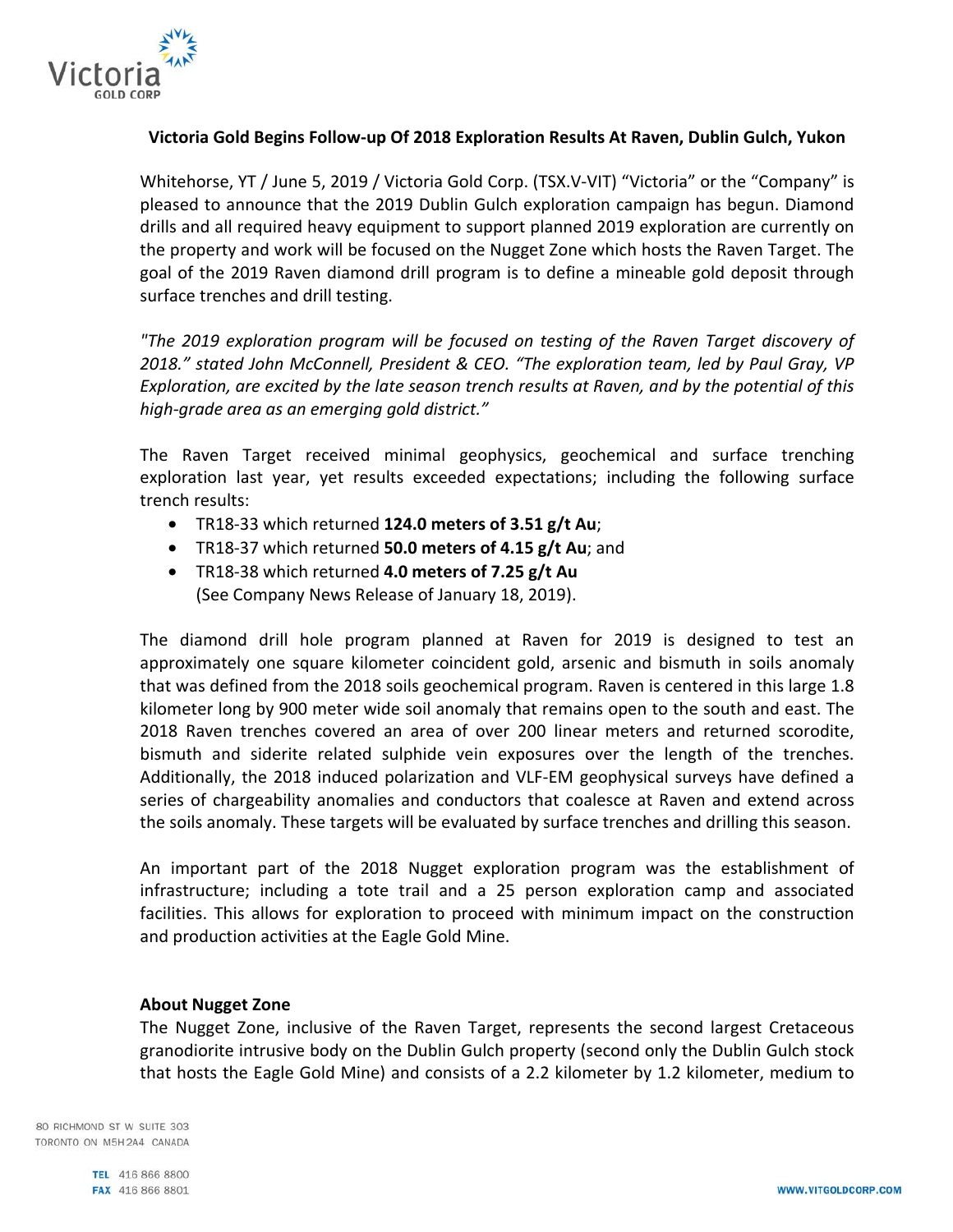

# **Victoria Gold Begins Follow-up Of 2018 Exploration Results At Raven, Dublin Gulch, Yukon**

Whitehorse, YT / June 5, 2019 / Victoria Gold Corp. (TSX.V-VIT) "Victoria" or the "Company" is pleased to announce that the 2019 Dublin Gulch exploration campaign has begun. Diamond drills and all required heavy equipment to support planned 2019 exploration are currently on the property and work will be focused on the Nugget Zone which hosts the Raven Target. The goal of the 2019 Raven diamond drill program is to define a mineable gold deposit through surface trenches and drill testing.

*"The 2019 exploration program will be focused on testing of the Raven Target discovery of 2018." stated John McConnell, President & CEO. "The exploration team, led by Paul Gray, VP Exploration, are excited by the late season trench results at Raven, and by the potential of this high-grade area as an emerging gold district."* 

The Raven Target received minimal geophysics, geochemical and surface trenching exploration last year, yet results exceeded expectations; including the following surface trench results:

- TR18-33 which returned **124.0 meters of 3.51 g/t Au**;
- TR18-37 which returned **50.0 meters of 4.15 g/t Au**; and
- TR18-38 which returned **4.0 meters of 7.25 g/t Au** (See Company News Release of January 18, 2019).

The diamond drill hole program planned at Raven for 2019 is designed to test an approximately one square kilometer coincident gold, arsenic and bismuth in soils anomaly that was defined from the 2018 soils geochemical program. Raven is centered in this large 1.8 kilometer long by 900 meter wide soil anomaly that remains open to the south and east. The 2018 Raven trenches covered an area of over 200 linear meters and returned scorodite, bismuth and siderite related sulphide vein exposures over the length of the trenches. Additionally, the 2018 induced polarization and VLF-EM geophysical surveys have defined a series of chargeability anomalies and conductors that coalesce at Raven and extend across the soils anomaly. These targets will be evaluated by surface trenches and drilling this season.

An important part of the 2018 Nugget exploration program was the establishment of infrastructure; including a tote trail and a 25 person exploration camp and associated facilities. This allows for exploration to proceed with minimum impact on the construction and production activities at the Eagle Gold Mine.

### **About Nugget Zone**

The Nugget Zone, inclusive of the Raven Target, represents the second largest Cretaceous granodiorite intrusive body on the Dublin Gulch property (second only the Dublin Gulch stock that hosts the Eagle Gold Mine) and consists of a 2.2 kilometer by 1.2 kilometer, medium to

80 RICHMOND ST W SUITE 303 TORONTO ON M5H2A4 CANADA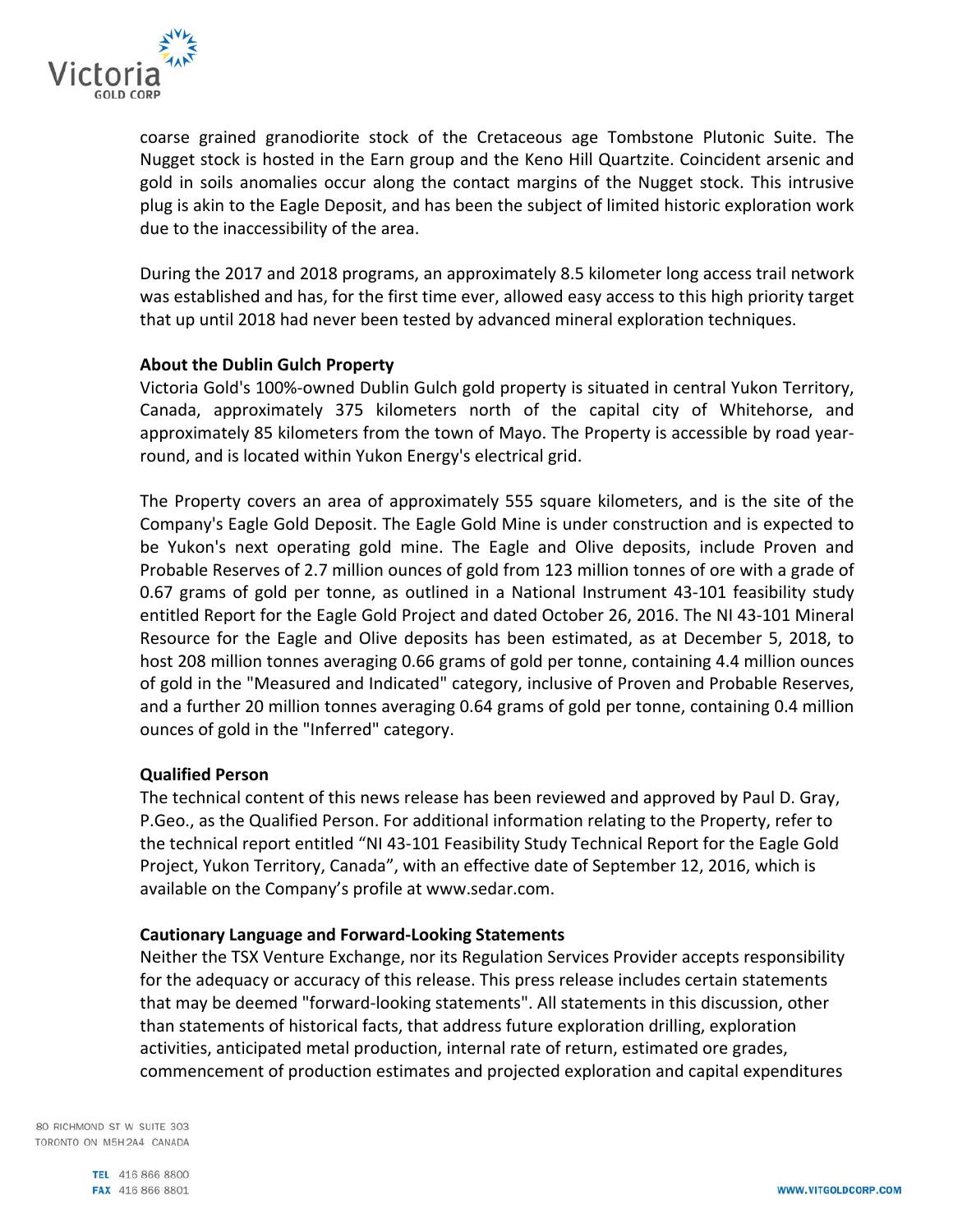

coarse grained granodiorite stock of the Cretaceous age Tombstone Plutonic Suite. The Nugget stock is hosted in the Earn group and the Keno Hill Quartzite. Coincident arsenic and gold in soils anomalies occur along the contact margins of the Nugget stock. This intrusive plug is akin to the Eagle Deposit, and has been the subject of limited historic exploration work due to the inaccessibility of the area.

During the 2017 and 2018 programs, an approximately 8.5 kilometer long access trail network was established and has, for the first time ever, allowed easy access to this high priority target that up until 2018 had never been tested by advanced mineral exploration techniques.

## **About the Dublin Gulch Property**

Victoria Gold's 100%-owned Dublin Gulch gold property is situated in central Yukon Territory, Canada, approximately 375 kilometers north of the capital city of Whitehorse, and approximately 85 kilometers from the town of Mayo. The Property is accessible by road yearround, and is located within Yukon Energy's electrical grid.

The Property covers an area of approximately 555 square kilometers, and is the site of the Company's Eagle Gold Deposit. The Eagle Gold Mine is under construction and is expected to be Yukon's next operating gold mine. The Eagle and Olive deposits, include Proven and Probable Reserves of 2.7 million ounces of gold from 123 million tonnes of ore with a grade of 0.67 grams of gold per tonne, as outlined in a National Instrument 43-101 feasibility study entitled Report for the Eagle Gold Project and dated October 26, 2016. The NI 43-101 Mineral Resource for the Eagle and Olive deposits has been estimated, as at December 5, 2018, to host 208 million tonnes averaging 0.66 grams of gold per tonne, containing 4.4 million ounces of gold in the "Measured and Indicated" category, inclusive of Proven and Probable Reserves, and a further 20 million tonnes averaging 0.64 grams of gold per tonne, containing 0.4 million ounces of gold in the "Inferred" category.

### **Qualified Person**

The technical content of this news release has been reviewed and approved by Paul D. Gray, P.Geo., as the Qualified Person. For additional information relating to the Property, refer to the technical report entitled "NI 43-101 Feasibility Study Technical Report for the Eagle Gold Project, Yukon Territory, Canada", with an effective date of September 12, 2016, which is available on the Company's profile at www.sedar.com.

### **Cautionary Language and Forward-Looking Statements**

Neither the TSX Venture Exchange, nor its Regulation Services Provider accepts responsibility for the adequacy or accuracy of this release. This press release includes certain statements that may be deemed "forward-looking statements". All statements in this discussion, other than statements of historical facts, that address future exploration drilling, exploration activities, anticipated metal production, internal rate of return, estimated ore grades, commencement of production estimates and projected exploration and capital expenditures

80 RICHMOND ST W SUITE 303 TORONTO ON M5H2A4 CANADA